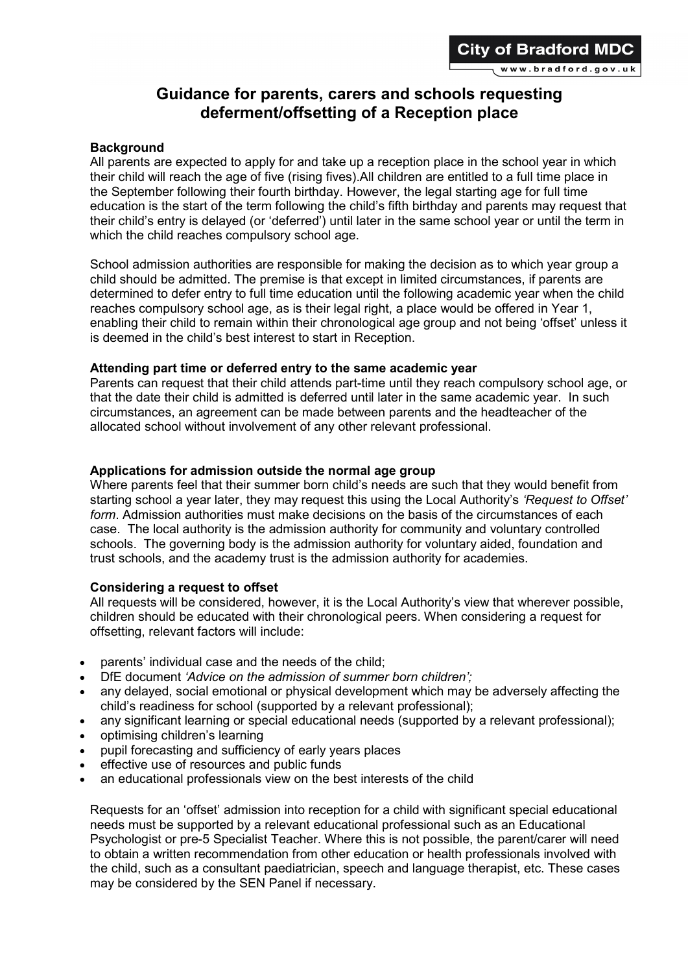# Guidance for parents, carers and schools requesting deferment/offsetting of a Reception place

### **Background**

All parents are expected to apply for and take up a reception place in the school year in which their child will reach the age of five (rising fives).All children are entitled to a full time place in the September following their fourth birthday. However, the legal starting age for full time education is the start of the term following the child's fifth birthday and parents may request that their child's entry is delayed (or 'deferred') until later in the same school year or until the term in which the child reaches compulsory school age.

School admission authorities are responsible for making the decision as to which year group a child should be admitted. The premise is that except in limited circumstances, if parents are determined to defer entry to full time education until the following academic year when the child reaches compulsory school age, as is their legal right, a place would be offered in Year 1, enabling their child to remain within their chronological age group and not being 'offset' unless it is deemed in the child's best interest to start in Reception.

### Attending part time or deferred entry to the same academic year

Parents can request that their child attends part-time until they reach compulsory school age, or that the date their child is admitted is deferred until later in the same academic year. In such circumstances, an agreement can be made between parents and the headteacher of the allocated school without involvement of any other relevant professional.

### Applications for admission outside the normal age group

Where parents feel that their summer born child's needs are such that they would benefit from starting school a year later, they may request this using the Local Authority's 'Request to Offset' form. Admission authorities must make decisions on the basis of the circumstances of each case. The local authority is the admission authority for community and voluntary controlled schools. The governing body is the admission authority for voluntary aided, foundation and trust schools, and the academy trust is the admission authority for academies.

## Considering a request to offset

All requests will be considered, however, it is the Local Authority's view that wherever possible, children should be educated with their chronological peers. When considering a request for offsetting, relevant factors will include:

- parents' individual case and the needs of the child;
- DfE document 'Advice on the admission of summer born children':
- any delayed, social emotional or physical development which may be adversely affecting the child's readiness for school (supported by a relevant professional);
- any significant learning or special educational needs (supported by a relevant professional);
- optimising children's learning
- pupil forecasting and sufficiency of early years places
- effective use of resources and public funds
- an educational professionals view on the best interests of the child

Requests for an 'offset' admission into reception for a child with significant special educational needs must be supported by a relevant educational professional such as an Educational Psychologist or pre-5 Specialist Teacher. Where this is not possible, the parent/carer will need to obtain a written recommendation from other education or health professionals involved with the child, such as a consultant paediatrician, speech and language therapist, etc. These cases may be considered by the SEN Panel if necessary.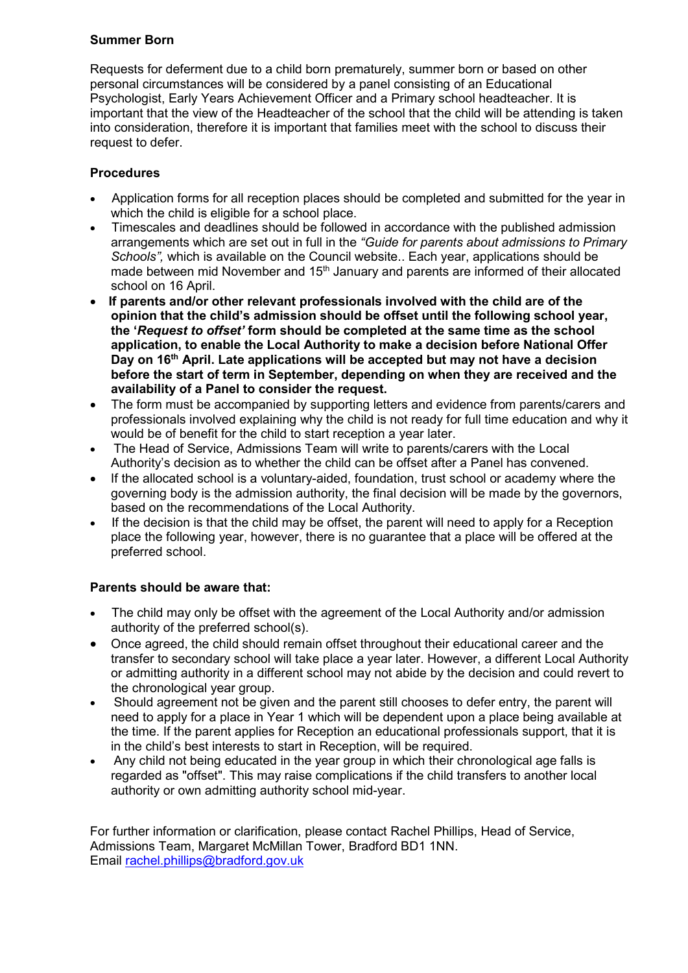# Summer Born

Requests for deferment due to a child born prematurely, summer born or based on other personal circumstances will be considered by a panel consisting of an Educational Psychologist, Early Years Achievement Officer and a Primary school headteacher. It is important that the view of the Headteacher of the school that the child will be attending is taken into consideration, therefore it is important that families meet with the school to discuss their request to defer.

# Procedures

- Application forms for all reception places should be completed and submitted for the year in which the child is eligible for a school place.
- Timescales and deadlines should be followed in accordance with the published admission arrangements which are set out in full in the "Guide for parents about admissions to Primary Schools", which is available on the Council website.. Each year, applications should be made between mid November and 15<sup>th</sup> January and parents are informed of their allocated school on 16 April.
- If parents and/or other relevant professionals involved with the child are of the opinion that the child's admission should be offset until the following school year, the 'Request to offset' form should be completed at the same time as the school application, to enable the Local Authority to make a decision before National Offer Day on 16<sup>th</sup> April. Late applications will be accepted but may not have a decision before the start of term in September, depending on when they are received and the availability of a Panel to consider the request.
- The form must be accompanied by supporting letters and evidence from parents/carers and professionals involved explaining why the child is not ready for full time education and why it would be of benefit for the child to start reception a year later.
- The Head of Service, Admissions Team will write to parents/carers with the Local Authority's decision as to whether the child can be offset after a Panel has convened.
- If the allocated school is a voluntary-aided, foundation, trust school or academy where the governing body is the admission authority, the final decision will be made by the governors, based on the recommendations of the Local Authority.
- If the decision is that the child may be offset, the parent will need to apply for a Reception place the following year, however, there is no guarantee that a place will be offered at the preferred school.

## Parents should be aware that:

- The child may only be offset with the agreement of the Local Authority and/or admission authority of the preferred school(s).
- Once agreed, the child should remain offset throughout their educational career and the transfer to secondary school will take place a year later. However, a different Local Authority or admitting authority in a different school may not abide by the decision and could revert to the chronological year group.
- Should agreement not be given and the parent still chooses to defer entry, the parent will need to apply for a place in Year 1 which will be dependent upon a place being available at the time. If the parent applies for Reception an educational professionals support, that it is in the child's best interests to start in Reception, will be required.
- Any child not being educated in the year group in which their chronological age falls is regarded as "offset". This may raise complications if the child transfers to another local authority or own admitting authority school mid-year.

For further information or clarification, please contact Rachel Phillips, Head of Service, Admissions Team, Margaret McMillan Tower, Bradford BD1 1NN. Email rachel.phillips@bradford.gov.uk